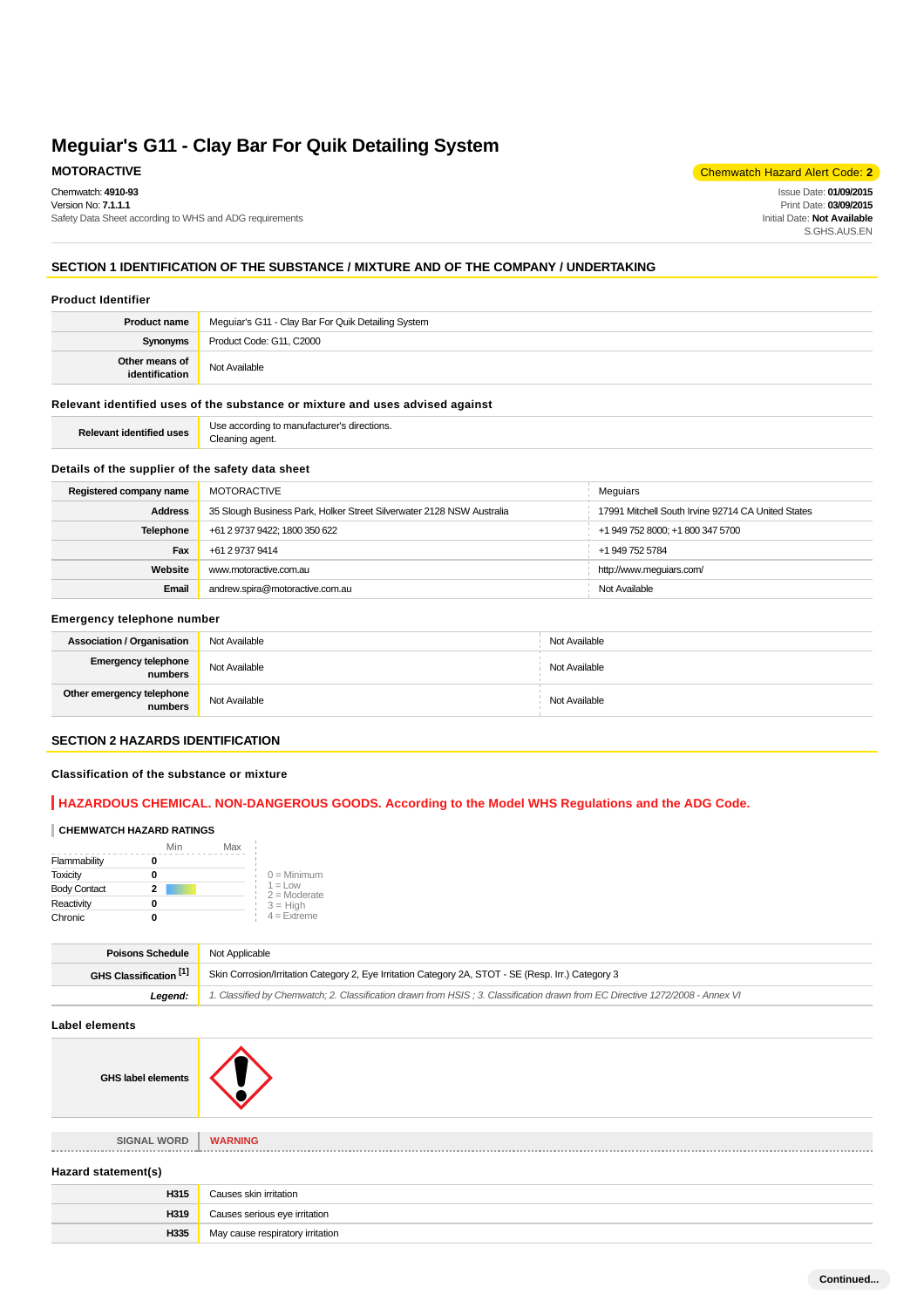Chemwatch: **4910-93** Version No: **7.1.1.1**

Safety Data Sheet according to WHS and ADG requirements

**MOTORACTIVE** Chemwatch Hazard Alert Code: **2** 

Issue Date: **01/09/2015** Print Date: **03/09/2015** Initial Date: **Not Available** S.GHS.AUS.EN

# **SECTION 1 IDENTIFICATION OF THE SUBSTANCE / MIXTURE AND OF THE COMPANY / UNDERTAKING**

# **Product Identifier**

| <b>Product name</b>              | Meguiar's G11 - Clay Bar For Quik Detailing System |
|----------------------------------|----------------------------------------------------|
| Synonyms                         | Product Code: G11, C2000                           |
| Other means of<br>identification | Not Available                                      |
|                                  |                                                    |

#### **Relevant identified uses of the substance or mixture and uses advised against**

| ומ |
|----|
|----|

#### **Details of the supplier of the safety data sheet**

| Registered company name | MOTORACTIVE                                                           | Meguiars                                           |
|-------------------------|-----------------------------------------------------------------------|----------------------------------------------------|
| <b>Address</b>          | 35 Slough Business Park, Holker Street Silverwater 2128 NSW Australia | 17991 Mitchell South Irvine 92714 CA United States |
| Telephone               | +61 2 9737 9422; 1800 350 622                                         | +1 949 752 8000; +1 800 347 5700                   |
| Fax                     | +61 2 9737 9414                                                       | +1 949 752 5784                                    |
| Website                 | www.motoractive.com.au                                                | http://www.mequiars.com/                           |
| Email                   | andrew.spira@motoractive.com.au                                       | Not Available                                      |

#### **Emergency telephone number**

| <b>Association / Organisation</b>    | Not Available | Not Available |
|--------------------------------------|---------------|---------------|
| Emergency telephone<br>numbers       | Not Available | Not Available |
| Other emergency telephone<br>numbers | Not Available | Not Available |

## **SECTION 2 HAZARDS IDENTIFICATION**

#### **Classification of the substance or mixture**

# **HAZARDOUS CHEMICAL. NON-DANGEROUS GOODS. According to the Model WHS Regulations and the ADG Code.**

#### **CHEMWATCH HAZARD RATINGS**

|                     | Min | Max |                             |
|---------------------|-----|-----|-----------------------------|
| Flammability        |     |     |                             |
| <b>Toxicity</b>     |     |     | $0 =$ Minimum               |
| <b>Body Contact</b> | 2   |     | $1 =$ Low<br>$2 =$ Moderate |
| Reactivity          |     |     | $3 = H$ igh                 |
| Chronic             |     |     | $4 =$ Extreme               |

| <b>Poisons Schedule</b> Not Applicable |                                                                                                                               |
|----------------------------------------|-------------------------------------------------------------------------------------------------------------------------------|
| GHS Classification [1]                 | Skin Corrosion/Irritation Category 2, Eye Irritation Category 2A, STOT - SE (Resp. Irr.) Category 3                           |
| Leaend:                                | 1. Classified by Chemwatch; 2. Classification drawn from HSIS; 3. Classification drawn from EC Directive 1272/2008 - Annex VI |

**Label elements**

**GHS label elements**

**SIGNAL WORD WARNING** \_\_\_\_\_\_\_\_\_\_\_\_\_\_\_\_



| Hazard statement(s)              |  |  |
|----------------------------------|--|--|
| Causes skin irritation           |  |  |
| Causes serious eye irritation    |  |  |
| May cause respiratory irritation |  |  |
|                                  |  |  |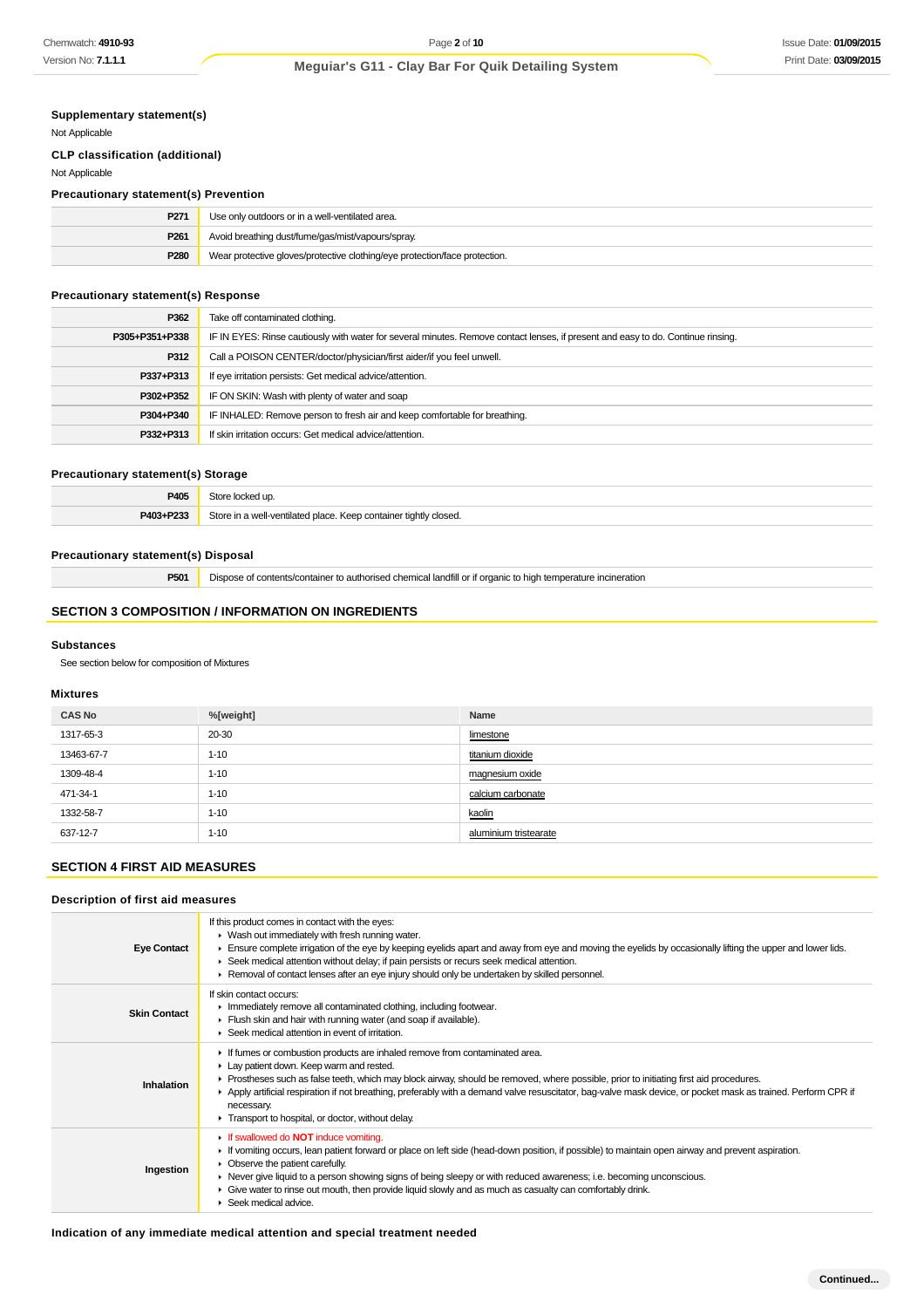# **Supplementary statement(s)**

Not Applicable

# **CLP classification (additional)**

Not Applicable

# **Precautionary statement(s) Prevention**

| P <sub>271</sub> | Use only outdoors or in a well-ventilated area.                            |
|------------------|----------------------------------------------------------------------------|
| P <sub>261</sub> | Avoid breathing dust/fume/gas/mist/vapours/spray.                          |
| P <sub>280</sub> | Wear protective gloves/protective clothing/eye protection/face protection. |

# **Precautionary statement(s) Response**

| P362           | Take off contaminated clothing.                                                                                                  |
|----------------|----------------------------------------------------------------------------------------------------------------------------------|
| P305+P351+P338 | IF IN EYES: Rinse cautiously with water for several minutes. Remove contact lenses, if present and easy to do. Continue rinsing. |
| P312           | Call a POISON CENTER/doctor/physician/first aider/if you feel unwell.                                                            |
| P337+P313      | If eye irritation persists: Get medical advice/attention.                                                                        |
| P302+P352      | IF ON SKIN: Wash with plenty of water and soap                                                                                   |
| P304+P340      | IF INHALED: Remove person to fresh air and keep comfortable for breathing.                                                       |
| P332+P313      | If skin irritation occurs: Get medical advice/attention.                                                                         |

#### **Precautionary statement(s) Storage**

| P405      | Store locked un                                                  |
|-----------|------------------------------------------------------------------|
| P403+P233 | Store in a well-ventilated place. Keep container tightly closed. |

# **Precautionary statement(s) Disposal**

**P501** Dispose of contents/container to authorised chemical landfill or if organic to high temperature incineration

# **SECTION 3 COMPOSITION / INFORMATION ON INGREDIENTS**

#### **Substances**

See section below for composition of Mixtures

## **Mixtures**

| <b>CAS No</b> | %[weight] | Name                  |
|---------------|-----------|-----------------------|
| 1317-65-3     | 20-30     | limestone             |
| 13463-67-7    | $1 - 10$  | titanium dioxide      |
| 1309-48-4     | $1 - 10$  | magnesium oxide       |
| 471-34-1      | $1 - 10$  | calcium carbonate     |
| 1332-58-7     | $1 - 10$  | kaolin                |
| 637-12-7      | $1 - 10$  | aluminium tristearate |

# **SECTION 4 FIRST AID MEASURES**

# **Description of first aid measures**

| <b>Eye Contact</b>  | If this product comes in contact with the eyes:<br>• Wash out immediately with fresh running water.<br>Ensure complete irrigation of the eye by keeping eyelids apart and away from eye and moving the eyelids by occasionally lifting the upper and lower lids.<br>► Seek medical attention without delay; if pain persists or recurs seek medical attention.<br>► Removal of contact lenses after an eye injury should only be undertaken by skilled personnel.                                               |
|---------------------|-----------------------------------------------------------------------------------------------------------------------------------------------------------------------------------------------------------------------------------------------------------------------------------------------------------------------------------------------------------------------------------------------------------------------------------------------------------------------------------------------------------------|
| <b>Skin Contact</b> | If skin contact occurs:<br>Inmediately remove all contaminated clothing, including footwear.<br>Flush skin and hair with running water (and soap if available).<br>$\blacktriangleright$ Seek medical attention in event of irritation.                                                                                                                                                                                                                                                                         |
| Inhalation          | If fumes or combustion products are inhaled remove from contaminated area.<br>Lay patient down. Keep warm and rested.<br>▶ Prostheses such as false teeth, which may block airway, should be removed, where possible, prior to initiating first aid procedures.<br>Apply artificial respiration if not breathing, preferably with a demand valve resuscitator, bag-valve mask device, or pocket mask as trained. Perform CPR if<br>necessary.<br>F Transport to hospital, or doctor, without delay.             |
| Ingestion           | If swallowed do <b>NOT</b> induce vomiting.<br>If vomiting occurs, lean patient forward or place on left side (head-down position, if possible) to maintain open airway and prevent aspiration.<br>$\triangleright$ Observe the patient carefully.<br>► Never give liquid to a person showing signs of being sleepy or with reduced awareness; i.e. becoming unconscious.<br>► Give water to rinse out mouth, then provide liquid slowly and as much as casualty can comfortably drink.<br>Seek medical advice. |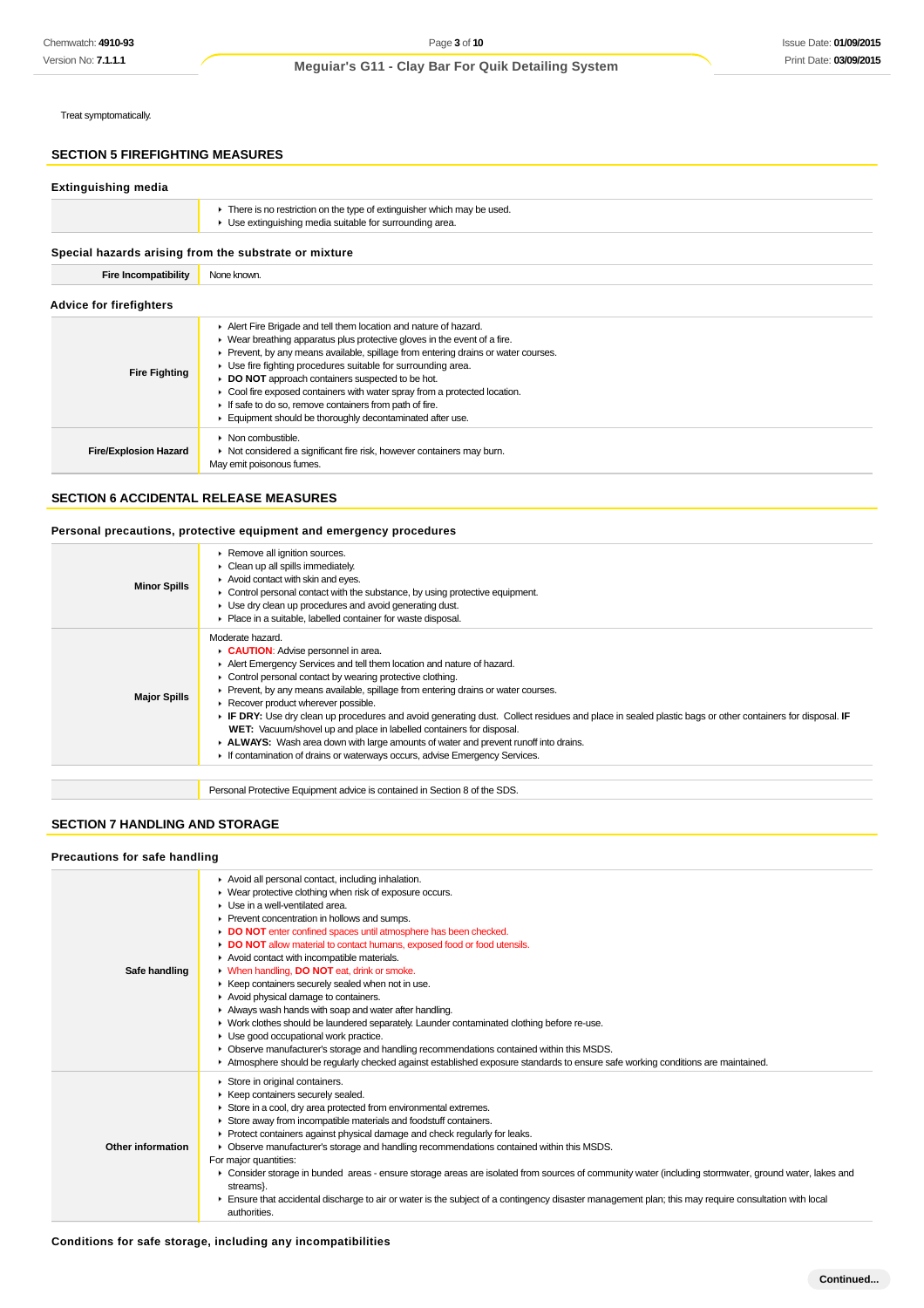Treat symptomatically.

# **SECTION 5 FIREFIGHTING MEASURES**

# **Extinguishing media**

| There is no restriction on the type of extinguisher which may be used.<br>• Use extinguishing media suitable for surrounding area. |
|------------------------------------------------------------------------------------------------------------------------------------|
|                                                                                                                                    |

# **Special hazards arising from the substrate or mixture**

# **Fire Incompatibility** None known.

|  |  | <b>Advice for firefighters</b> |
|--|--|--------------------------------|
|--|--|--------------------------------|

| <b>AUVICE TOF INCHANGES</b>  |                                                                                                                                                                                                                                                                                                                                                                                                                                                                                                                                                                                |  |
|------------------------------|--------------------------------------------------------------------------------------------------------------------------------------------------------------------------------------------------------------------------------------------------------------------------------------------------------------------------------------------------------------------------------------------------------------------------------------------------------------------------------------------------------------------------------------------------------------------------------|--|
| <b>Fire Fighting</b>         | Alert Fire Brigade and tell them location and nature of hazard.<br>$\blacktriangleright$ Wear breathing apparatus plus protective gloves in the event of a fire.<br>Prevent, by any means available, spillage from entering drains or water courses.<br>• Use fire fighting procedures suitable for surrounding area.<br>► DO NOT approach containers suspected to be hot.<br>• Cool fire exposed containers with water spray from a protected location.<br>If safe to do so, remove containers from path of fire.<br>Equipment should be thoroughly decontaminated after use. |  |
| <b>Fire/Explosion Hazard</b> | $\triangleright$ Non combustible.<br>• Not considered a significant fire risk, however containers may burn.<br>May emit poisonous fumes.                                                                                                                                                                                                                                                                                                                                                                                                                                       |  |

# **SECTION 6 ACCIDENTAL RELEASE MEASURES**

#### **Personal precautions, protective equipment and emergency procedures**

| <b>Minor Spills</b> | Remove all ignition sources.<br>• Clean up all spills immediately.<br>Avoid contact with skin and eyes.<br>$\triangleright$ Control personal contact with the substance, by using protective equipment.<br>• Use dry clean up procedures and avoid generating dust.<br>• Place in a suitable, labelled container for waste disposal.                                                                                                                                                                                                                                                                                                                                                                                                      |
|---------------------|-------------------------------------------------------------------------------------------------------------------------------------------------------------------------------------------------------------------------------------------------------------------------------------------------------------------------------------------------------------------------------------------------------------------------------------------------------------------------------------------------------------------------------------------------------------------------------------------------------------------------------------------------------------------------------------------------------------------------------------------|
| <b>Major Spills</b> | Moderate hazard.<br><b>CAUTION:</b> Advise personnel in area.<br>Alert Emergency Services and tell them location and nature of hazard.<br>• Control personal contact by wearing protective clothing.<br>► Prevent, by any means available, spillage from entering drains or water courses.<br>Recover product wherever possible.<br>► IF DRY: Use dry clean up procedures and avoid generating dust. Collect residues and place in sealed plastic bags or other containers for disposal. IF<br>WET: Vacuum/shovel up and place in labelled containers for disposal.<br>► ALWAYS: Wash area down with large amounts of water and prevent runoff into drains.<br>If contamination of drains or waterways occurs, advise Emergency Services. |
|                     |                                                                                                                                                                                                                                                                                                                                                                                                                                                                                                                                                                                                                                                                                                                                           |
|                     | Personal Protective Equipment advice is contained in Section 8 of the SDS.                                                                                                                                                                                                                                                                                                                                                                                                                                                                                                                                                                                                                                                                |

# **SECTION 7 HANDLING AND STORAGE**

#### **Precautions for safe handling**

| Safe handling            | Avoid all personal contact, including inhalation.<br>Wear protective clothing when risk of exposure occurs.<br>$\blacktriangleright$ Use in a well-ventilated area.<br>Prevent concentration in hollows and sumps.<br>DO NOT enter confined spaces until atmosphere has been checked.<br>DO NOT allow material to contact humans, exposed food or food utensils.<br>Avoid contact with incompatible materials.<br>• When handling, DO NOT eat, drink or smoke.<br>▶ Keep containers securely sealed when not in use.<br>Avoid physical damage to containers.<br>Always wash hands with soap and water after handling.<br>► Work clothes should be laundered separately. Launder contaminated clothing before re-use.<br>• Use good occupational work practice.<br>• Observe manufacturer's storage and handling recommendations contained within this MSDS.<br>Atmosphere should be regularly checked against established exposure standards to ensure safe working conditions are maintained. |
|--------------------------|------------------------------------------------------------------------------------------------------------------------------------------------------------------------------------------------------------------------------------------------------------------------------------------------------------------------------------------------------------------------------------------------------------------------------------------------------------------------------------------------------------------------------------------------------------------------------------------------------------------------------------------------------------------------------------------------------------------------------------------------------------------------------------------------------------------------------------------------------------------------------------------------------------------------------------------------------------------------------------------------|
| <b>Other information</b> | Store in original containers.<br>▶ Keep containers securely sealed.<br>Store in a cool, dry area protected from environmental extremes.<br>Store away from incompatible materials and foodstuff containers.<br>Þ.<br>• Protect containers against physical damage and check regularly for leaks.<br>• Observe manufacturer's storage and handling recommendations contained within this MSDS.<br>For major quantities:<br>▶ Consider storage in bunded areas - ensure storage areas are isolated from sources of community water (including stormwater, ground water, lakes and<br>streams}.<br>Ensure that accidental discharge to air or water is the subject of a contingency disaster management plan; this may require consultation with local<br>authorities.                                                                                                                                                                                                                            |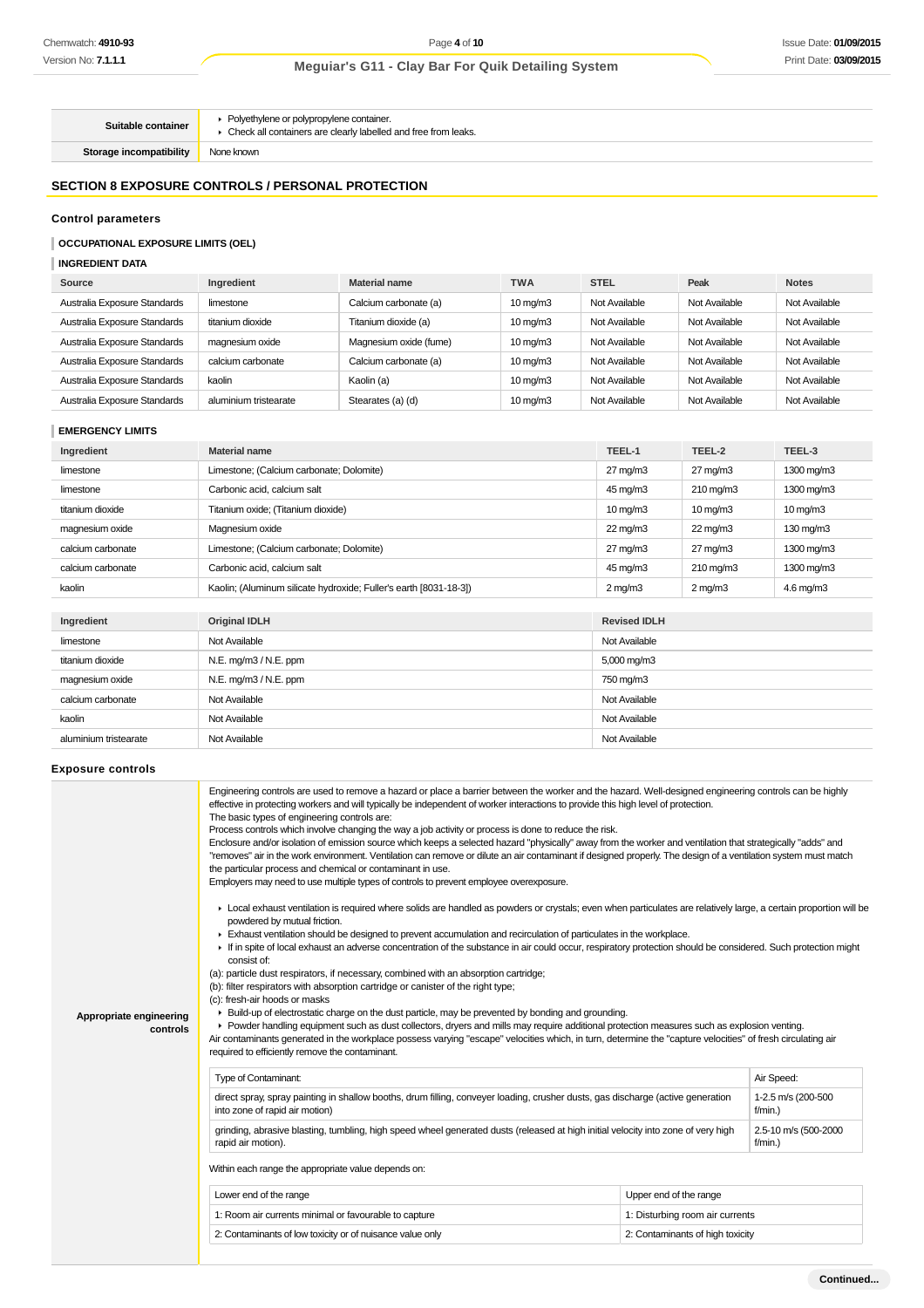**Suitable container** Polyethylene or polypropylene container.  $\blacktriangleright$  Check all containers are clearly labelled and free from leaks.

**Storage incompatibility** None known

# **SECTION 8 EXPOSURE CONTROLS / PERSONAL PROTECTION**

# **Control parameters**

#### **OCCUPATIONAL EXPOSURE LIMITS (OEL)**

**INGREDIENT DATA**

| Source                       | Ingredient            | <b>Material name</b>   | <b>TWA</b>        | <b>STEL</b>   | Peak          | <b>Notes</b>  |
|------------------------------|-----------------------|------------------------|-------------------|---------------|---------------|---------------|
| Australia Exposure Standards | limestone             | Calcium carbonate (a)  | $10 \text{ mg/m}$ | Not Available | Not Available | Not Available |
| Australia Exposure Standards | titanium dioxide      | Titanium dioxide (a)   | $10 \text{ mg/m}$ | Not Available | Not Available | Not Available |
| Australia Exposure Standards | magnesium oxide       | Magnesium oxide (fume) | $10 \text{ mg/m}$ | Not Available | Not Available | Not Available |
| Australia Exposure Standards | calcium carbonate     | Calcium carbonate (a)  | $10 \text{ mg/m}$ | Not Available | Not Available | Not Available |
| Australia Exposure Standards | kaolin                | Kaolin (a)             | $10 \text{ mg/m}$ | Not Available | Not Available | Not Available |
| Australia Exposure Standards | aluminium tristearate | Stearates (a) (d)      | $10 \text{ mg/m}$ | Not Available | Not Available | Not Available |

#### **EMERGENCY LIMITS**

| Ingredient        | <b>Material name</b>                                              | TEEL-1            | TEEL-2                | TEEL-3               |
|-------------------|-------------------------------------------------------------------|-------------------|-----------------------|----------------------|
| limestone         | Limestone; (Calcium carbonate; Dolomite)                          | $27 \text{ mg/m}$ | $27 \,\mathrm{mq/m3}$ | 1300 mg/m3           |
| limestone         | Carbonic acid, calcium salt                                       | 45 mg/m3          | $210 \,\mathrm{mg/m}$ | 1300 mg/m3           |
| titanium dioxide  | Titanium oxide; (Titanium dioxide)                                | $10 \text{ mg/m}$ | $10 \,\mathrm{mq/m}$  | $10 \text{ mg/m}$    |
| magnesium oxide   | Magnesium oxide                                                   | $22 \text{ mg/m}$ | $22 \,\mathrm{mq/m}$  | $130 \text{ mg/m}$   |
| calcium carbonate | Limestone; (Calcium carbonate; Dolomite)                          | $27 \text{ mg/m}$ | $27 \text{ mg/m}$ 3   | 1300 mg/m3           |
| calcium carbonate | Carbonic acid, calcium salt                                       | 45 mg/m3          | $210 \,\mathrm{mg/m}$ | 1300 mg/m3           |
| kaolin            | Kaolin; (Aluminum silicate hydroxide; Fuller's earth [8031-18-3]) | $2 \text{ mg/m}$  | $2 \text{ mg/m}$      | $4.6 \text{ mg/m}$ 3 |

| Ingredient            | <b>Original IDLH</b>  | <b>Revised IDLH</b>     |
|-----------------------|-----------------------|-------------------------|
| limestone             | Not Available         | Not Available           |
| titanium dioxide      | N.E. mg/m3 / N.E. ppm | $5,000 \,\mathrm{mg/m}$ |
| magnesium oxide       | N.E. mg/m3 / N.E. ppm | 750 mg/m3               |
| calcium carbonate     | Not Available         | Not Available           |
| kaolin                | Not Available         | Not Available           |
| aluminium tristearate | Not Available         | Not Available           |

#### **Exposure controls**

|                                     | Engineering controls are used to remove a hazard or place a barrier between the worker and the hazard. Well-designed engineering controls can be highly<br>effective in protecting workers and will typically be independent of worker interactions to provide this high level of protection.<br>The basic types of engineering controls are:                                                                                                                                                                                                                                                                                                                                                                                                                                                                                                                                                                                                                                                                                                                                                                                                                                                 |                                    |            |  |  |
|-------------------------------------|-----------------------------------------------------------------------------------------------------------------------------------------------------------------------------------------------------------------------------------------------------------------------------------------------------------------------------------------------------------------------------------------------------------------------------------------------------------------------------------------------------------------------------------------------------------------------------------------------------------------------------------------------------------------------------------------------------------------------------------------------------------------------------------------------------------------------------------------------------------------------------------------------------------------------------------------------------------------------------------------------------------------------------------------------------------------------------------------------------------------------------------------------------------------------------------------------|------------------------------------|------------|--|--|
|                                     | Process controls which involve changing the way a job activity or process is done to reduce the risk.<br>Enclosure and/or isolation of emission source which keeps a selected hazard "physically" away from the worker and ventilation that strategically "adds" and<br>"removes" air in the work environment. Ventilation can remove or dilute an air contaminant if designed properly. The design of a ventilation system must match<br>the particular process and chemical or contaminant in use.                                                                                                                                                                                                                                                                                                                                                                                                                                                                                                                                                                                                                                                                                          |                                    |            |  |  |
|                                     | Employers may need to use multiple types of controls to prevent employee overexposure.                                                                                                                                                                                                                                                                                                                                                                                                                                                                                                                                                                                                                                                                                                                                                                                                                                                                                                                                                                                                                                                                                                        |                                    |            |  |  |
| Appropriate engineering<br>controls | ► Local exhaust ventilation is required where solids are handled as powders or crystals; even when particulates are relatively large, a certain proportion will be<br>powdered by mutual friction.<br>Exhaust ventilation should be designed to prevent accumulation and recirculation of particulates in the workplace.<br>If in spite of local exhaust an adverse concentration of the substance in air could occur, respiratory protection should be considered. Such protection might<br>consist of:<br>(a): particle dust respirators, if necessary, combined with an absorption cartridge;<br>(b): filter respirators with absorption cartridge or canister of the right type;<br>(c): fresh-air hoods or masks<br>► Build-up of electrostatic charge on the dust particle, may be prevented by bonding and grounding.<br>▶ Powder handling equipment such as dust collectors, dryers and mills may require additional protection measures such as explosion venting.<br>Air contaminants generated in the workplace possess varying "escape" velocities which, in turn, determine the "capture velocities" of fresh circulating air<br>required to efficiently remove the contaminant. |                                    |            |  |  |
|                                     | <b>Type of Contaminant:</b>                                                                                                                                                                                                                                                                                                                                                                                                                                                                                                                                                                                                                                                                                                                                                                                                                                                                                                                                                                                                                                                                                                                                                                   |                                    | Air Speed: |  |  |
|                                     | direct spray, spray painting in shallow booths, drum filling, conveyer loading, crusher dusts, gas discharge (active generation<br>into zone of rapid air motion)                                                                                                                                                                                                                                                                                                                                                                                                                                                                                                                                                                                                                                                                                                                                                                                                                                                                                                                                                                                                                             | 1-2.5 m/s (200-500<br>$f/min.$ )   |            |  |  |
|                                     | grinding, abrasive blasting, tumbling, high speed wheel generated dusts (released at high initial velocity into zone of very high<br>rapid air motion).                                                                                                                                                                                                                                                                                                                                                                                                                                                                                                                                                                                                                                                                                                                                                                                                                                                                                                                                                                                                                                       | 2.5-10 m/s (500-2000<br>$f/min.$ ) |            |  |  |
|                                     | Within each range the appropriate value depends on:                                                                                                                                                                                                                                                                                                                                                                                                                                                                                                                                                                                                                                                                                                                                                                                                                                                                                                                                                                                                                                                                                                                                           |                                    |            |  |  |
|                                     | Lower end of the range                                                                                                                                                                                                                                                                                                                                                                                                                                                                                                                                                                                                                                                                                                                                                                                                                                                                                                                                                                                                                                                                                                                                                                        | Upper end of the range             |            |  |  |
|                                     | 1: Room air currents minimal or favourable to capture                                                                                                                                                                                                                                                                                                                                                                                                                                                                                                                                                                                                                                                                                                                                                                                                                                                                                                                                                                                                                                                                                                                                         | 1: Disturbing room air currents    |            |  |  |
|                                     | 2: Contaminants of low toxicity or of nuisance value only                                                                                                                                                                                                                                                                                                                                                                                                                                                                                                                                                                                                                                                                                                                                                                                                                                                                                                                                                                                                                                                                                                                                     | 2: Contaminants of high toxicity   |            |  |  |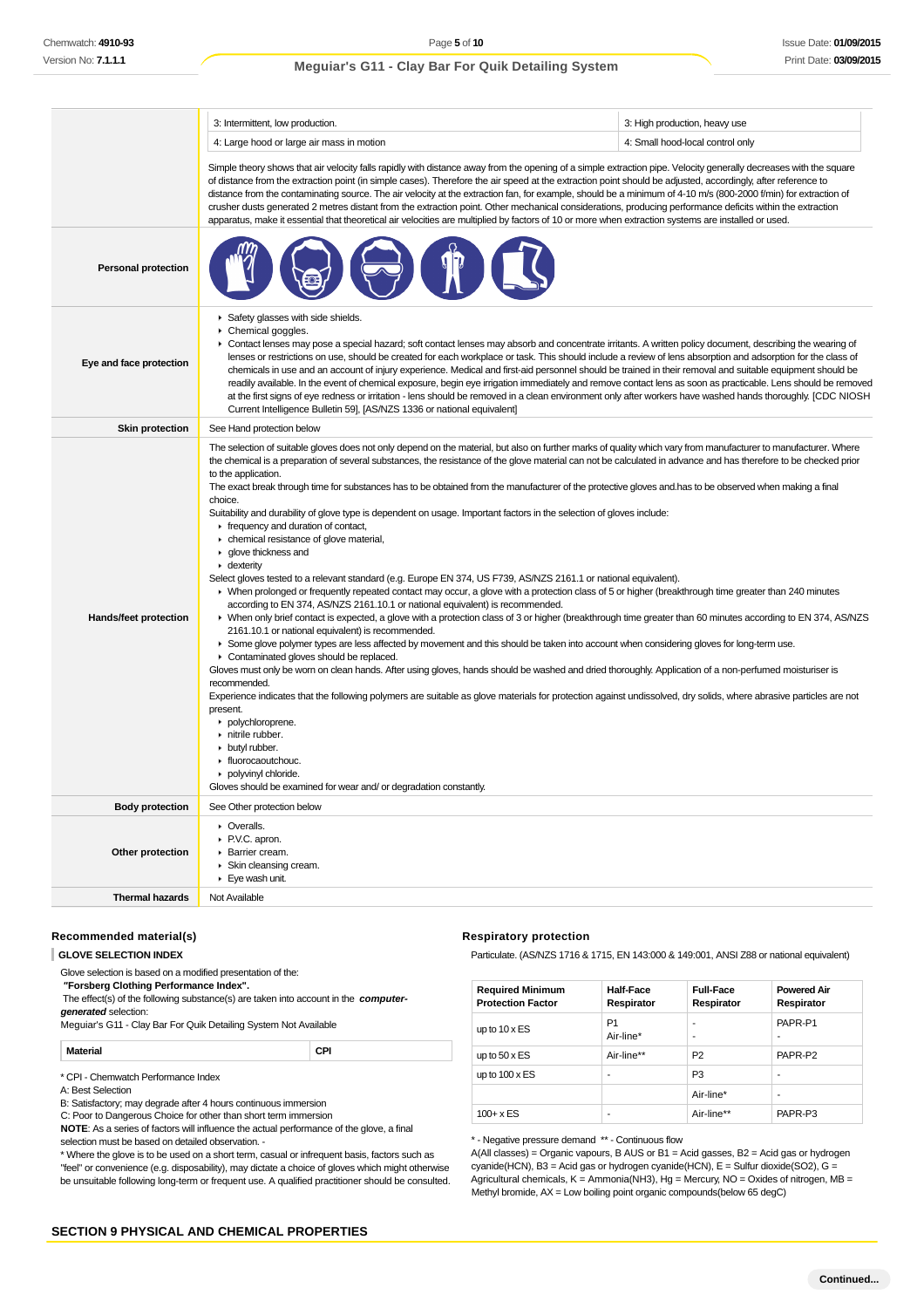|                                            | 3: Intermittent, low production.                                                                                                                                                                                                                                                                                                                                                                                                                                                                                                                                                                                                                                                                                                                                                                                                                                                                                                                                                                                                                                                                                                                                                                                                                                                                                                                                                                                                                                                                                                                                                                                                                                                                                                                                                                                                                                                                                                                                                                                                                                                                                                                   | 3: High production, heavy use    |  |  |
|--------------------------------------------|----------------------------------------------------------------------------------------------------------------------------------------------------------------------------------------------------------------------------------------------------------------------------------------------------------------------------------------------------------------------------------------------------------------------------------------------------------------------------------------------------------------------------------------------------------------------------------------------------------------------------------------------------------------------------------------------------------------------------------------------------------------------------------------------------------------------------------------------------------------------------------------------------------------------------------------------------------------------------------------------------------------------------------------------------------------------------------------------------------------------------------------------------------------------------------------------------------------------------------------------------------------------------------------------------------------------------------------------------------------------------------------------------------------------------------------------------------------------------------------------------------------------------------------------------------------------------------------------------------------------------------------------------------------------------------------------------------------------------------------------------------------------------------------------------------------------------------------------------------------------------------------------------------------------------------------------------------------------------------------------------------------------------------------------------------------------------------------------------------------------------------------------------|----------------------------------|--|--|
|                                            | 4: Large hood or large air mass in motion                                                                                                                                                                                                                                                                                                                                                                                                                                                                                                                                                                                                                                                                                                                                                                                                                                                                                                                                                                                                                                                                                                                                                                                                                                                                                                                                                                                                                                                                                                                                                                                                                                                                                                                                                                                                                                                                                                                                                                                                                                                                                                          | 4: Small hood-local control only |  |  |
|                                            | Simple theory shows that air velocity falls rapidly with distance away from the opening of a simple extraction pipe. Velocity generally decreases with the square<br>of distance from the extraction point (in simple cases). Therefore the air speed at the extraction point should be adjusted, accordingly, after reference to<br>distance from the contaminating source. The air velocity at the extraction fan, for example, should be a minimum of 4-10 m/s (800-2000 f/min) for extraction of<br>crusher dusts generated 2 metres distant from the extraction point. Other mechanical considerations, producing performance deficits within the extraction<br>apparatus, make it essential that theoretical air velocities are multiplied by factors of 10 or more when extraction systems are installed or used.                                                                                                                                                                                                                                                                                                                                                                                                                                                                                                                                                                                                                                                                                                                                                                                                                                                                                                                                                                                                                                                                                                                                                                                                                                                                                                                           |                                  |  |  |
| <b>Personal protection</b>                 |                                                                                                                                                                                                                                                                                                                                                                                                                                                                                                                                                                                                                                                                                                                                                                                                                                                                                                                                                                                                                                                                                                                                                                                                                                                                                                                                                                                                                                                                                                                                                                                                                                                                                                                                                                                                                                                                                                                                                                                                                                                                                                                                                    |                                  |  |  |
| Eye and face protection                    | Safety glasses with side shields.<br>Chemical goggles.<br>▶ Contact lenses may pose a special hazard; soft contact lenses may absorb and concentrate irritants. A written policy document, describing the wearing of<br>lenses or restrictions on use, should be created for each workplace or task. This should include a review of lens absorption and adsorption for the class of<br>chemicals in use and an account of injury experience. Medical and first-aid personnel should be trained in their removal and suitable equipment should be<br>readily available. In the event of chemical exposure, begin eye irrigation immediately and remove contact lens as soon as practicable. Lens should be removed<br>at the first signs of eye redness or irritation - lens should be removed in a clean environment only after workers have washed hands thoroughly. [CDC NIOSH<br>Current Intelligence Bulletin 59], [AS/NZS 1336 or national equivalent]                                                                                                                                                                                                                                                                                                                                                                                                                                                                                                                                                                                                                                                                                                                                                                                                                                                                                                                                                                                                                                                                                                                                                                                       |                                  |  |  |
| <b>Skin protection</b>                     | See Hand protection below                                                                                                                                                                                                                                                                                                                                                                                                                                                                                                                                                                                                                                                                                                                                                                                                                                                                                                                                                                                                                                                                                                                                                                                                                                                                                                                                                                                                                                                                                                                                                                                                                                                                                                                                                                                                                                                                                                                                                                                                                                                                                                                          |                                  |  |  |
| Hands/feet protection                      | The selection of suitable gloves does not only depend on the material, but also on further marks of quality which vary from manufacturer to manufacturer. Where<br>the chemical is a preparation of several substances, the resistance of the glove material can not be calculated in advance and has therefore to be checked prior<br>to the application.<br>The exact break through time for substances has to be obtained from the manufacturer of the protective gloves and has to be observed when making a final<br>choice.<br>Suitability and durability of glove type is dependent on usage. Important factors in the selection of gloves include:<br>$\blacktriangleright$ frequency and duration of contact,<br>• chemical resistance of glove material,<br>▶ glove thickness and<br>$\blacktriangleright$ dexterity<br>Select gloves tested to a relevant standard (e.g. Europe EN 374, US F739, AS/NZS 2161.1 or national equivalent).<br>> When prolonged or frequently repeated contact may occur, a glove with a protection class of 5 or higher (breakthrough time greater than 240 minutes<br>according to EN 374, AS/NZS 2161.10.1 or national equivalent) is recommended.<br>> When only brief contact is expected, a glove with a protection class of 3 or higher (breakthrough time greater than 60 minutes according to EN 374, AS/NZS<br>2161.10.1 or national equivalent) is recommended.<br>> Some glove polymer types are less affected by movement and this should be taken into account when considering gloves for long-term use.<br>Contaminated gloves should be replaced.<br>Gloves must only be worn on clean hands. After using gloves, hands should be washed and dried thoroughly. Application of a non-perfumed moisturiser is<br>recommended.<br>Experience indicates that the following polymers are suitable as glove materials for protection against undissolved, dry solids, where abrasive particles are not<br>present.<br>polychloroprene.<br>nitrile rubber.<br>• butyl rubber.<br>• fluorocaoutchouc.<br>polyvinyl chloride.<br>Gloves should be examined for wear and/ or degradation constantly. |                                  |  |  |
| <b>Body protection</b>                     | See Other protection below                                                                                                                                                                                                                                                                                                                                                                                                                                                                                                                                                                                                                                                                                                                                                                                                                                                                                                                                                                                                                                                                                                                                                                                                                                                                                                                                                                                                                                                                                                                                                                                                                                                                                                                                                                                                                                                                                                                                                                                                                                                                                                                         |                                  |  |  |
| Other protection<br><b>Thermal hazards</b> | • Overalls.<br>P.V.C. apron.<br>Barrier cream.<br>$\triangleright$ Skin cleansing cream.<br>Eye wash unit.<br>Not Available                                                                                                                                                                                                                                                                                                                                                                                                                                                                                                                                                                                                                                                                                                                                                                                                                                                                                                                                                                                                                                                                                                                                                                                                                                                                                                                                                                                                                                                                                                                                                                                                                                                                                                                                                                                                                                                                                                                                                                                                                        |                                  |  |  |
|                                            |                                                                                                                                                                                                                                                                                                                                                                                                                                                                                                                                                                                                                                                                                                                                                                                                                                                                                                                                                                                                                                                                                                                                                                                                                                                                                                                                                                                                                                                                                                                                                                                                                                                                                                                                                                                                                                                                                                                                                                                                                                                                                                                                                    |                                  |  |  |

## **Recommended material(s)**

| Glove selection is based on a modified presentation of the:<br>"Forsberg Clothing Performance Index".       |     |
|-------------------------------------------------------------------------------------------------------------|-----|
| The effect(s) of the following substance(s) are taken into account in the computer-<br>generated selection: |     |
| Mequiar's G11 - Clay Bar For Quik Detailing System Not Available                                            |     |
| Material                                                                                                    | CPI |

\* CPI - Chemwatch Performance Index

A: Best Selection

B: Satisfactory; may degrade after 4 hours continuous immersion

C: Poor to Dangerous Choice for other than short term immersion

**NOTE**: As a series of factors will influence the actual performance of the glove, a final selection must be based on detailed observation. -

\* Where the glove is to be used on a short term, casual or infrequent basis, factors such as "feel" or convenience (e.g. disposability), may dictate a choice of gloves which might otherwise be unsuitable following long-term or frequent use. A qualified practitioner should be consulted.

#### **Respiratory protection**

Particulate. (AS/NZS 1716 & 1715, EN 143:000 & 149:001, ANSI Z88 or national equivalent)

| <b>Required Minimum</b><br><b>Protection Factor</b> | Half-Face<br>Respirator     | <b>Full-Face</b><br>Respirator | <b>Powered Air</b><br>Respirator |
|-----------------------------------------------------|-----------------------------|--------------------------------|----------------------------------|
| up to $10 \times ES$                                | P <sub>1</sub><br>Air-line* | ۰<br>۰                         | PAPR-P1<br>-                     |
| up to $50 \times ES$                                | Air-line**                  | P <sub>2</sub>                 | PAPR-P2                          |
| up to $100 \times ES$                               | ٠                           | P <sub>3</sub>                 | ۰                                |
|                                                     |                             | Air-line*                      | ۰                                |
| $100 + x ES$                                        | ۰                           | Air-line**                     | PAPR-P3                          |

\* - Negative pressure demand \*\* - Continuous flow

A(All classes) = Organic vapours, B AUS or B1 = Acid gasses, B2 = Acid gas or hydrogen cyanide(HCN), B3 = Acid gas or hydrogen cyanide(HCN), E = Sulfur dioxide(SO2), G = Agricultural chemicals,  $K =$  Ammonia(NH3),  $Hg =$  Mercury, NO = Oxides of nitrogen, MB = Methyl bromide, AX = Low boiling point organic compounds(below 65 degC)

# **SECTION 9 PHYSICAL AND CHEMICAL PROPERTIES**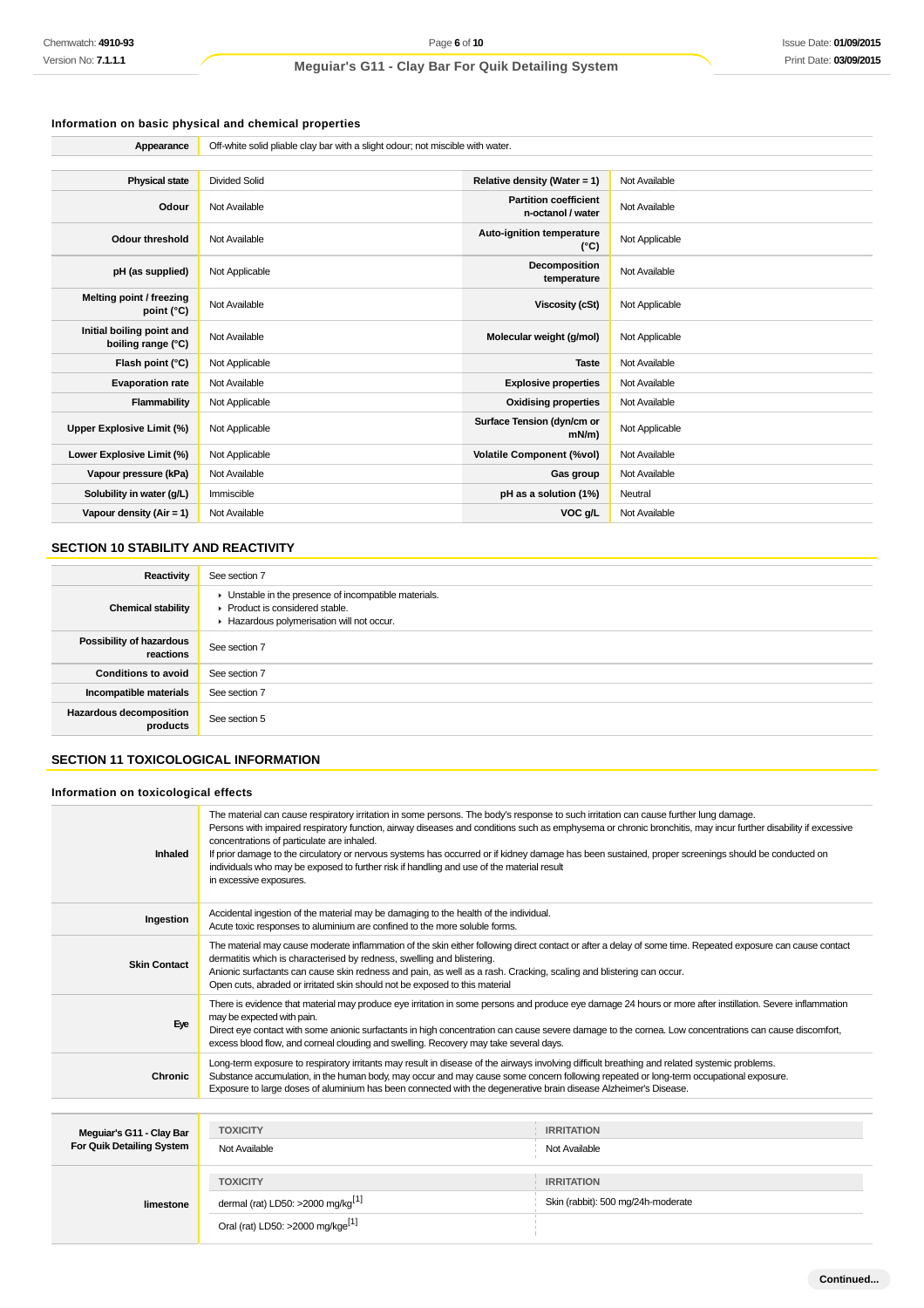# **Information on basic physical and chemical properties**

| Appearance                                      | Off-white solid pliable clay bar with a slight odour; not miscible with water. |                                                   |                |
|-------------------------------------------------|--------------------------------------------------------------------------------|---------------------------------------------------|----------------|
|                                                 |                                                                                |                                                   |                |
| <b>Physical state</b>                           | <b>Divided Solid</b>                                                           | Relative density (Water = 1)                      | Not Available  |
| Odour                                           | Not Available                                                                  | <b>Partition coefficient</b><br>n-octanol / water | Not Available  |
| <b>Odour threshold</b>                          | Not Available                                                                  | Auto-ignition temperature<br>$(^{\circ}C)$        | Not Applicable |
| pH (as supplied)                                | Not Applicable                                                                 | Decomposition<br>temperature                      | Not Available  |
| Melting point / freezing<br>point (°C)          | Not Available                                                                  | Viscosity (cSt)                                   | Not Applicable |
| Initial boiling point and<br>boiling range (°C) | Not Available                                                                  | Molecular weight (g/mol)                          | Not Applicable |
| Flash point (°C)                                | Not Applicable                                                                 | <b>Taste</b>                                      | Not Available  |
| <b>Evaporation rate</b>                         | Not Available                                                                  | <b>Explosive properties</b>                       | Not Available  |
| Flammability                                    | Not Applicable                                                                 | <b>Oxidising properties</b>                       | Not Available  |
| Upper Explosive Limit (%)                       | Not Applicable                                                                 | Surface Tension (dyn/cm or<br>$mN/m$ )            | Not Applicable |
| Lower Explosive Limit (%)                       | Not Applicable                                                                 | <b>Volatile Component (%vol)</b>                  | Not Available  |
| Vapour pressure (kPa)                           | Not Available                                                                  | Gas group                                         | Not Available  |
| Solubility in water (g/L)                       | Immiscible                                                                     | pH as a solution (1%)                             | Neutral        |
| Vapour density (Air = 1)                        | Not Available                                                                  | VOC g/L                                           | Not Available  |

# **SECTION 10 STABILITY AND REACTIVITY**

| Reactivity                            | See section 7                                                                                                                        |
|---------------------------------------|--------------------------------------------------------------------------------------------------------------------------------------|
| <b>Chemical stability</b>             | • Unstable in the presence of incompatible materials.<br>▶ Product is considered stable.<br>Hazardous polymerisation will not occur. |
| Possibility of hazardous<br>reactions | See section 7                                                                                                                        |
| <b>Conditions to avoid</b>            | See section 7                                                                                                                        |
| Incompatible materials                | See section 7                                                                                                                        |
| Hazardous decomposition<br>products   | See section 5                                                                                                                        |

# **SECTION 11 TOXICOLOGICAL INFORMATION**

#### **Information on toxicological effects**

| Inhaled                                               | The material can cause respiratory irritation in some persons. The body's response to such irritation can cause further lung damage.<br>Persons with impaired respiratory function, airway diseases and conditions such as emphysema or chronic bronchitis, may incur further disability if excessive<br>concentrations of particulate are inhaled.<br>If prior damage to the circulatory or nervous systems has occurred or if kidney damage has been sustained, proper screenings should be conducted on<br>individuals who may be exposed to further risk if handling and use of the material result<br>in excessive exposures. |                                                         |
|-------------------------------------------------------|------------------------------------------------------------------------------------------------------------------------------------------------------------------------------------------------------------------------------------------------------------------------------------------------------------------------------------------------------------------------------------------------------------------------------------------------------------------------------------------------------------------------------------------------------------------------------------------------------------------------------------|---------------------------------------------------------|
| Ingestion                                             | Accidental ingestion of the material may be damaging to the health of the individual.<br>Acute toxic responses to aluminium are confined to the more soluble forms.                                                                                                                                                                                                                                                                                                                                                                                                                                                                |                                                         |
| <b>Skin Contact</b>                                   | The material may cause moderate inflammation of the skin either following direct contact or after a delay of some time. Repeated exposure can cause contact<br>dermatitis which is characterised by redness, swelling and blistering.<br>Anionic surfactants can cause skin redness and pain, as well as a rash. Cracking, scaling and blistering can occur.<br>Open cuts, abraded or irritated skin should not be exposed to this material                                                                                                                                                                                        |                                                         |
| Eye                                                   | There is evidence that material may produce eye irritation in some persons and produce eye damage 24 hours or more after instillation. Severe inflammation<br>may be expected with pain.<br>Direct eye contact with some anionic surfactants in high concentration can cause severe damage to the comea. Low concentrations can cause discomfort,<br>excess blood flow, and corneal clouding and swelling. Recovery may take several days.                                                                                                                                                                                         |                                                         |
| Chronic                                               | Long-term exposure to respiratory irritants may result in disease of the airways involving difficult breathing and related systemic problems.<br>Substance accumulation, in the human body, may occur and may cause some concern following repeated or long-term occupational exposure.<br>Exposure to large doses of aluminium has been connected with the degenerative brain disease Alzheimer's Disease.                                                                                                                                                                                                                        |                                                         |
|                                                       |                                                                                                                                                                                                                                                                                                                                                                                                                                                                                                                                                                                                                                    |                                                         |
| Meguiar's G11 - Clay Bar<br>For Quik Detailing System | <b>TOXICITY</b><br>Not Available                                                                                                                                                                                                                                                                                                                                                                                                                                                                                                                                                                                                   | <b>IRRITATION</b><br>Not Available                      |
| limestone                                             | <b>TOXICITY</b><br>dermal (rat) LD50: >2000 mg/kg <sup>[1]</sup><br>Oral (rat) LD50: >2000 mg/kge <sup>[1]</sup>                                                                                                                                                                                                                                                                                                                                                                                                                                                                                                                   | <b>IRRITATION</b><br>Skin (rabbit): 500 mg/24h-moderate |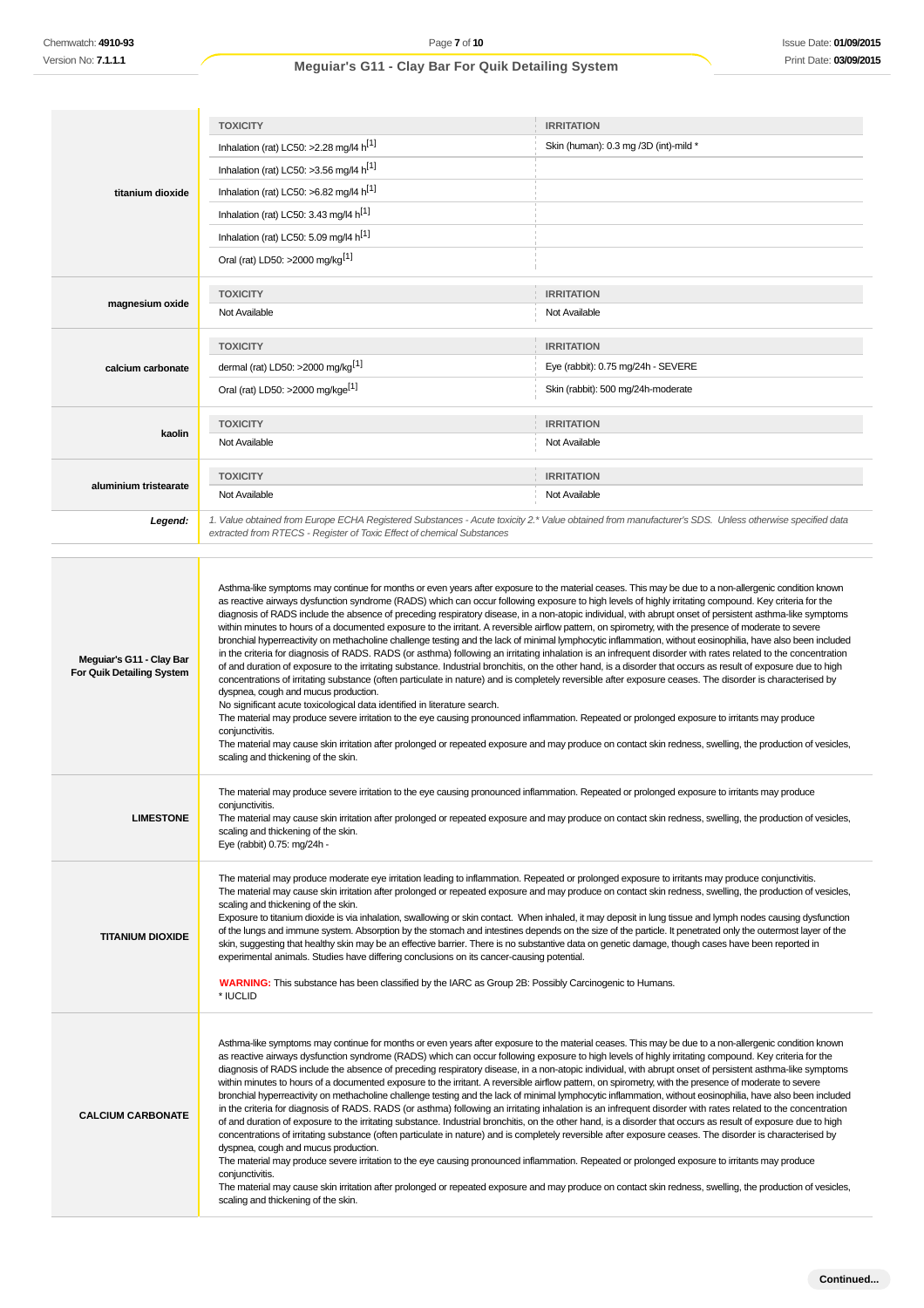|                       | <b>TOXICITY</b>                                                                                                                                       | <b>IRRITATION</b>                     |
|-----------------------|-------------------------------------------------------------------------------------------------------------------------------------------------------|---------------------------------------|
|                       | Inhalation (rat) LC50: >2.28 mg/l4 $h^{[1]}$                                                                                                          | Skin (human): 0.3 mg /3D (int)-mild * |
|                       | Inhalation (rat) LC50: >3.56 mg/l4 $h^{11}$                                                                                                           |                                       |
| titanium dioxide      | Inhalation (rat) LC50: >6.82 mg/l4 h <sup>[1]</sup>                                                                                                   |                                       |
|                       | Inhalation (rat) LC50: 3.43 mg/l4 h <sup>[1]</sup>                                                                                                    |                                       |
|                       | Inhalation (rat) LC50: 5.09 mg/l4 h <sup>[1]</sup>                                                                                                    |                                       |
|                       | Oral (rat) LD50: >2000 mg/kg <sup>[1]</sup>                                                                                                           |                                       |
|                       | <b>TOXICITY</b>                                                                                                                                       | <b>IRRITATION</b>                     |
| magnesium oxide       | Not Available                                                                                                                                         | Not Available                         |
|                       | <b>TOXICITY</b>                                                                                                                                       | <b>IRRITATION</b>                     |
| calcium carbonate     | dermal (rat) LD50: >2000 mg/kg <sup>[1]</sup>                                                                                                         | Eye (rabbit): 0.75 mg/24h - SEVERE    |
|                       | Oral (rat) LD50: >2000 mg/kge <sup>[1]</sup>                                                                                                          | Skin (rabbit): 500 mg/24h-moderate    |
| kaolin                | <b>TOXICITY</b>                                                                                                                                       | <b>IRRITATION</b>                     |
|                       | Not Available                                                                                                                                         | Not Available                         |
| aluminium tristearate | <b>TOXICITY</b>                                                                                                                                       | <b>IRRITATION</b>                     |
|                       | Not Available                                                                                                                                         | Not Available                         |
| Leaend:               | 1. Value obtained from Europe ECHA Registered Substances - Acute toxicity 2.* Value obtained from manufacturer's SDS. Unless otherwise specified data |                                       |

| Chemwatch: 4910-93                                    | Page 7 of 10                                                                                                                                                                                                                                                                                                                                                                                                                                                                                                                                                                                                                                                                                                                                                                                                                                                                                                                                                                                                                                                                                                                                                                                                                                                                                                                                                                                                                                                                                                                                                                                                                                                                                                         |                                       | Issue Date: 01/09/2 |
|-------------------------------------------------------|----------------------------------------------------------------------------------------------------------------------------------------------------------------------------------------------------------------------------------------------------------------------------------------------------------------------------------------------------------------------------------------------------------------------------------------------------------------------------------------------------------------------------------------------------------------------------------------------------------------------------------------------------------------------------------------------------------------------------------------------------------------------------------------------------------------------------------------------------------------------------------------------------------------------------------------------------------------------------------------------------------------------------------------------------------------------------------------------------------------------------------------------------------------------------------------------------------------------------------------------------------------------------------------------------------------------------------------------------------------------------------------------------------------------------------------------------------------------------------------------------------------------------------------------------------------------------------------------------------------------------------------------------------------------------------------------------------------------|---------------------------------------|---------------------|
| Version No: <b>7.1.1.1</b>                            | Meguiar's G11 - Clay Bar For Quik Detailing System                                                                                                                                                                                                                                                                                                                                                                                                                                                                                                                                                                                                                                                                                                                                                                                                                                                                                                                                                                                                                                                                                                                                                                                                                                                                                                                                                                                                                                                                                                                                                                                                                                                                   |                                       | Print Date: 03/09/2 |
|                                                       |                                                                                                                                                                                                                                                                                                                                                                                                                                                                                                                                                                                                                                                                                                                                                                                                                                                                                                                                                                                                                                                                                                                                                                                                                                                                                                                                                                                                                                                                                                                                                                                                                                                                                                                      |                                       |                     |
|                                                       |                                                                                                                                                                                                                                                                                                                                                                                                                                                                                                                                                                                                                                                                                                                                                                                                                                                                                                                                                                                                                                                                                                                                                                                                                                                                                                                                                                                                                                                                                                                                                                                                                                                                                                                      |                                       |                     |
|                                                       | <b>TOXICITY</b>                                                                                                                                                                                                                                                                                                                                                                                                                                                                                                                                                                                                                                                                                                                                                                                                                                                                                                                                                                                                                                                                                                                                                                                                                                                                                                                                                                                                                                                                                                                                                                                                                                                                                                      | <b>IRRITATION</b>                     |                     |
|                                                       | Inhalation (rat) LC50: >2.28 mg/l4 h <sup>[1]</sup>                                                                                                                                                                                                                                                                                                                                                                                                                                                                                                                                                                                                                                                                                                                                                                                                                                                                                                                                                                                                                                                                                                                                                                                                                                                                                                                                                                                                                                                                                                                                                                                                                                                                  | Skin (human): 0.3 mg /3D (int)-mild * |                     |
|                                                       | Inhalation (rat) LC50: >3.56 mg/l4 h <sup>[1]</sup>                                                                                                                                                                                                                                                                                                                                                                                                                                                                                                                                                                                                                                                                                                                                                                                                                                                                                                                                                                                                                                                                                                                                                                                                                                                                                                                                                                                                                                                                                                                                                                                                                                                                  |                                       |                     |
| titanium dioxide                                      | Inhalation (rat) LC50: >6.82 mg/l4 h <sup>[1]</sup>                                                                                                                                                                                                                                                                                                                                                                                                                                                                                                                                                                                                                                                                                                                                                                                                                                                                                                                                                                                                                                                                                                                                                                                                                                                                                                                                                                                                                                                                                                                                                                                                                                                                  |                                       |                     |
|                                                       | Inhalation (rat) LC50: 3.43 mg/l4 h <sup>[1]</sup>                                                                                                                                                                                                                                                                                                                                                                                                                                                                                                                                                                                                                                                                                                                                                                                                                                                                                                                                                                                                                                                                                                                                                                                                                                                                                                                                                                                                                                                                                                                                                                                                                                                                   |                                       |                     |
|                                                       | Inhalation (rat) LC50: 5.09 mg/l4 h <sup>[1]</sup>                                                                                                                                                                                                                                                                                                                                                                                                                                                                                                                                                                                                                                                                                                                                                                                                                                                                                                                                                                                                                                                                                                                                                                                                                                                                                                                                                                                                                                                                                                                                                                                                                                                                   |                                       |                     |
|                                                       | Oral (rat) LD50: >2000 mg/kg <sup>[1]</sup>                                                                                                                                                                                                                                                                                                                                                                                                                                                                                                                                                                                                                                                                                                                                                                                                                                                                                                                                                                                                                                                                                                                                                                                                                                                                                                                                                                                                                                                                                                                                                                                                                                                                          |                                       |                     |
|                                                       | <b>TOXICITY</b>                                                                                                                                                                                                                                                                                                                                                                                                                                                                                                                                                                                                                                                                                                                                                                                                                                                                                                                                                                                                                                                                                                                                                                                                                                                                                                                                                                                                                                                                                                                                                                                                                                                                                                      | <b>IRRITATION</b>                     |                     |
| magnesium oxide                                       | Not Available                                                                                                                                                                                                                                                                                                                                                                                                                                                                                                                                                                                                                                                                                                                                                                                                                                                                                                                                                                                                                                                                                                                                                                                                                                                                                                                                                                                                                                                                                                                                                                                                                                                                                                        | Not Available                         |                     |
|                                                       | <b>TOXICITY</b>                                                                                                                                                                                                                                                                                                                                                                                                                                                                                                                                                                                                                                                                                                                                                                                                                                                                                                                                                                                                                                                                                                                                                                                                                                                                                                                                                                                                                                                                                                                                                                                                                                                                                                      | <b>IRRITATION</b>                     |                     |
| calcium carbonate                                     | dermal (rat) LD50: >2000 mg/kg <sup>[1]</sup>                                                                                                                                                                                                                                                                                                                                                                                                                                                                                                                                                                                                                                                                                                                                                                                                                                                                                                                                                                                                                                                                                                                                                                                                                                                                                                                                                                                                                                                                                                                                                                                                                                                                        | Eye (rabbit): 0.75 mg/24h - SEVERE    |                     |
|                                                       | Oral (rat) LD50: >2000 mg/kge <sup>[1]</sup>                                                                                                                                                                                                                                                                                                                                                                                                                                                                                                                                                                                                                                                                                                                                                                                                                                                                                                                                                                                                                                                                                                                                                                                                                                                                                                                                                                                                                                                                                                                                                                                                                                                                         | Skin (rabbit): 500 mg/24h-moderate    |                     |
|                                                       |                                                                                                                                                                                                                                                                                                                                                                                                                                                                                                                                                                                                                                                                                                                                                                                                                                                                                                                                                                                                                                                                                                                                                                                                                                                                                                                                                                                                                                                                                                                                                                                                                                                                                                                      |                                       |                     |
| kaolin                                                | <b>TOXICITY</b>                                                                                                                                                                                                                                                                                                                                                                                                                                                                                                                                                                                                                                                                                                                                                                                                                                                                                                                                                                                                                                                                                                                                                                                                                                                                                                                                                                                                                                                                                                                                                                                                                                                                                                      | <b>IRRITATION</b>                     |                     |
|                                                       | Not Available                                                                                                                                                                                                                                                                                                                                                                                                                                                                                                                                                                                                                                                                                                                                                                                                                                                                                                                                                                                                                                                                                                                                                                                                                                                                                                                                                                                                                                                                                                                                                                                                                                                                                                        | Not Available                         |                     |
| aluminium tristearate                                 | <b>TOXICITY</b>                                                                                                                                                                                                                                                                                                                                                                                                                                                                                                                                                                                                                                                                                                                                                                                                                                                                                                                                                                                                                                                                                                                                                                                                                                                                                                                                                                                                                                                                                                                                                                                                                                                                                                      | <b>IRRITATION</b>                     |                     |
|                                                       | Not Available                                                                                                                                                                                                                                                                                                                                                                                                                                                                                                                                                                                                                                                                                                                                                                                                                                                                                                                                                                                                                                                                                                                                                                                                                                                                                                                                                                                                                                                                                                                                                                                                                                                                                                        | Not Available                         |                     |
| Legend:                                               | 1. Value obtained from Europe ECHA Registered Substances - Acute toxicity 2.* Value obtained from manufacturer's SDS. Unless otherwise specified data<br>extracted from RTECS - Register of Toxic Effect of chemical Substances                                                                                                                                                                                                                                                                                                                                                                                                                                                                                                                                                                                                                                                                                                                                                                                                                                                                                                                                                                                                                                                                                                                                                                                                                                                                                                                                                                                                                                                                                      |                                       |                     |
|                                                       |                                                                                                                                                                                                                                                                                                                                                                                                                                                                                                                                                                                                                                                                                                                                                                                                                                                                                                                                                                                                                                                                                                                                                                                                                                                                                                                                                                                                                                                                                                                                                                                                                                                                                                                      |                                       |                     |
| Meguiar's G11 - Clay Bar<br>For Quik Detailing System | as reactive airways dysfunction syndrome (RADS) which can occur following exposure to high levels of highly irritating compound. Key criteria for the<br>diagnosis of RADS include the absence of preceding respiratory disease, in a non-atopic individual, with abrupt onset of persistent asthma-like symptoms<br>within minutes to hours of a documented exposure to the irritant. A reversible airflow pattern, on spirometry, with the presence of moderate to severe<br>bronchial hyperreactivity on methacholine challenge testing and the lack of minimal lymphocytic inflammation, without eosinophilia, have also been included<br>in the criteria for diagnosis of RADS. RADS (or asthma) following an irritating inhalation is an infrequent disorder with rates related to the concentration<br>of and duration of exposure to the irritating substance. Industrial bronchitis, on the other hand, is a disorder that occurs as result of exposure due to high<br>concentrations of irritating substance (often particulate in nature) and is completely reversible after exposure ceases. The disorder is characterised by<br>dyspnea, cough and mucus production.<br>No significant acute toxicological data identified in literature search.<br>The material may produce severe irritation to the eye causing pronounced inflammation. Repeated or prolonged exposure to irritants may produce<br>conjunctivitis.<br>The material may cause skin irritation after prolonged or repeated exposure and may produce on contact skin redness, swelling, the production of vesicles,<br>scaling and thickening of the skin.                                                                              |                                       |                     |
| <b>LIMESTONE</b>                                      | The material may produce severe irritation to the eye causing pronounced inflammation. Repeated or prolonged exposure to irritants may produce<br>conjunctivitis.<br>The material may cause skin irritation after prolonged or repeated exposure and may produce on contact skin redness, swelling, the production of vesicles,<br>scaling and thickening of the skin.<br>Eye (rabbit) 0.75: mg/24h -                                                                                                                                                                                                                                                                                                                                                                                                                                                                                                                                                                                                                                                                                                                                                                                                                                                                                                                                                                                                                                                                                                                                                                                                                                                                                                                |                                       |                     |
| <b>TITANIUM DIOXIDE</b>                               | The material may produce moderate eye irritation leading to inflammation. Repeated or prolonged exposure to irritants may produce conjunctivitis.<br>The material may cause skin irritation after prolonged or repeated exposure and may produce on contact skin redness, swelling, the production of vesicles,<br>scaling and thickening of the skin.<br>Exposure to titanium dioxide is via inhalation, swallowing or skin contact. When inhaled, it may deposit in lung tissue and lymph nodes causing dysfunction<br>of the lungs and immune system. Absorption by the stomach and intestines depends on the size of the particle. It penetrated only the outermost layer of the<br>skin, suggesting that healthy skin may be an effective barrier. There is no substantive data on genetic damage, though cases have been reported in<br>experimental animals. Studies have differing conclusions on its cancer-causing potential.<br><b>WARNING:</b> This substance has been classified by the IARC as Group 2B: Possibly Carcinogenic to Humans.<br>* IUCLID                                                                                                                                                                                                                                                                                                                                                                                                                                                                                                                                                                                                                                                  |                                       |                     |
| <b>CALCIUM CARBONATE</b>                              | Asthma-like symptoms may continue for months or even years after exposure to the material ceases. This may be due to a non-allergenic condition known<br>as reactive airways dysfunction syndrome (RADS) which can occur following exposure to high levels of highly irritating compound. Key criteria for the<br>diagnosis of RADS include the absence of preceding respiratory disease, in a non-atopic individual, with abrupt onset of persistent asthma-like symptoms<br>within minutes to hours of a documented exposure to the irritant. A reversible airflow pattern, on spirometry, with the presence of moderate to severe<br>bronchial hyperreactivity on methacholine challenge testing and the lack of minimal lymphocytic inflammation, without eosinophilia, have also been included<br>in the criteria for diagnosis of RADS. RADS (or asthma) following an irritating inhalation is an infrequent disorder with rates related to the concentration<br>of and duration of exposure to the irritating substance. Industrial bronchitis, on the other hand, is a disorder that occurs as result of exposure due to high<br>concentrations of irritating substance (often particulate in nature) and is completely reversible after exposure ceases. The disorder is characterised by<br>dyspnea, cough and mucus production.<br>The material may produce severe irritation to the eye causing pronounced inflammation. Repeated or prolonged exposure to irritants may produce<br>conjunctivitis.<br>The material may cause skin irritation after prolonged or repeated exposure and may produce on contact skin redness, swelling, the production of vesicles,<br>scaling and thickening of the skin. |                                       |                     |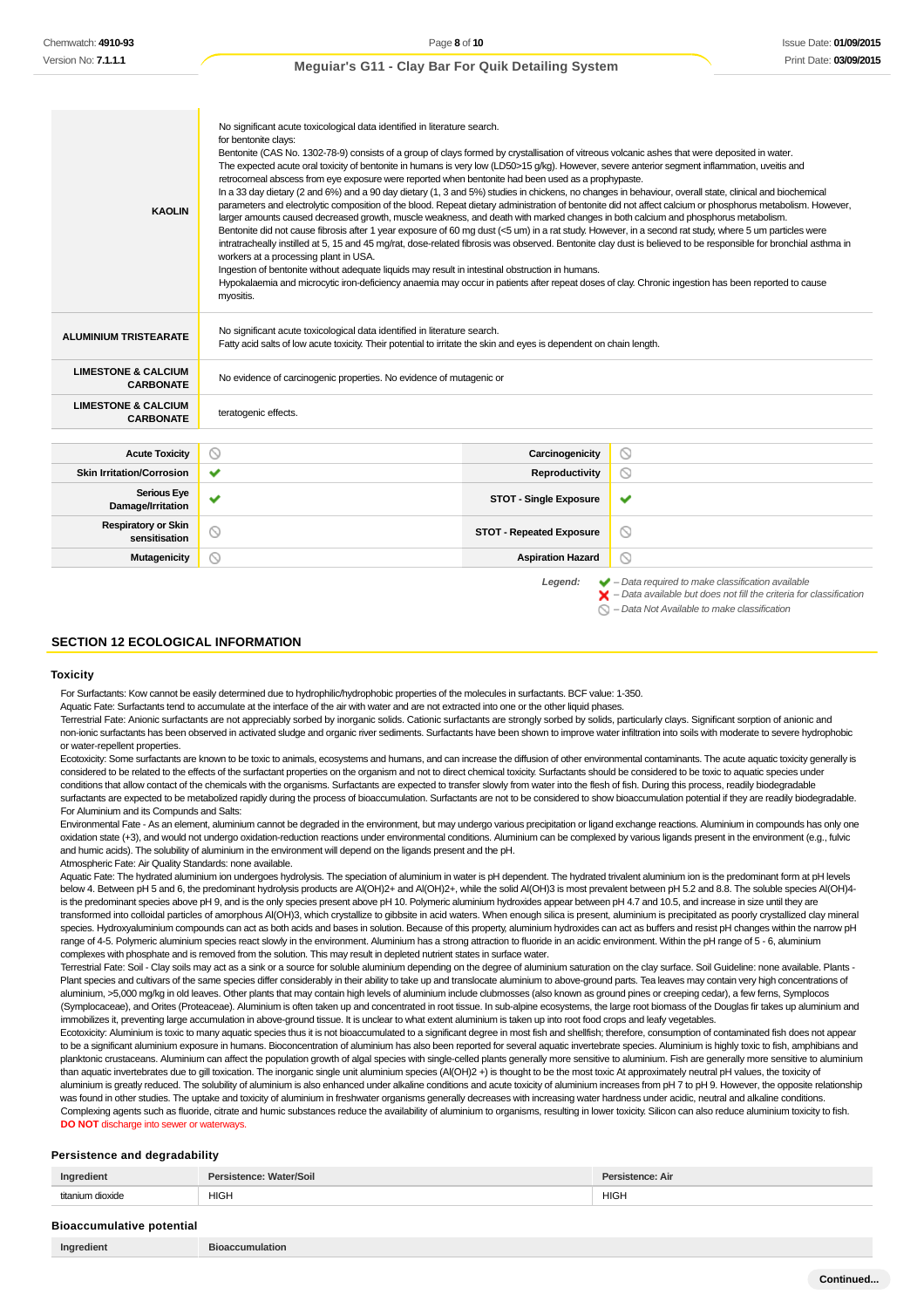| <b>KAOLIN</b>                                      | No significant acute toxicological data identified in literature search.<br>for bentonite clays:<br>Bentonite (CAS No. 1302-78-9) consists of a group of clays formed by crystallisation of vitreous volcanic ashes that were deposited in water.<br>The expected acute oral toxicity of bentonite in humans is very low (LD50>15 g/kg). However, severe anterior segment inflammation, uveitis and<br>retrocorneal abscess from eye exposure were reported when bentonite had been used as a prophypaste.<br>In a 33 day dietary (2 and 6%) and a 90 day dietary (1, 3 and 5%) studies in chickens, no changes in behaviour, overall state, clinical and biochemical<br>parameters and electrolytic composition of the blood. Repeat dietary administration of bentonite did not affect calcium or phosphorus metabolism. However,<br>larger amounts caused decreased growth, muscle weakness, and death with marked changes in both calcium and phosphorus metabolism.<br>Bentonite did not cause fibrosis after 1 year exposure of 60 mg dust (<5 um) in a rat study. However, in a second rat study, where 5 um particles were<br>intratracheally instilled at 5, 15 and 45 mg/rat, dose-related fibrosis was observed. Bentonite clay dust is believed to be responsible for bronchial asthma in<br>workers at a processing plant in USA.<br>Ingestion of bentonite without adequate liquids may result in intestinal obstruction in humans.<br>Hypokalaemia and microcytic iron-deficiency anaemia may occur in patients after repeat doses of clay. Chronic ingestion has been reported to cause<br>myositis. |                                 |                                                                                                                                                                                                                   |
|----------------------------------------------------|----------------------------------------------------------------------------------------------------------------------------------------------------------------------------------------------------------------------------------------------------------------------------------------------------------------------------------------------------------------------------------------------------------------------------------------------------------------------------------------------------------------------------------------------------------------------------------------------------------------------------------------------------------------------------------------------------------------------------------------------------------------------------------------------------------------------------------------------------------------------------------------------------------------------------------------------------------------------------------------------------------------------------------------------------------------------------------------------------------------------------------------------------------------------------------------------------------------------------------------------------------------------------------------------------------------------------------------------------------------------------------------------------------------------------------------------------------------------------------------------------------------------------------------------------------------------------------------------------------------------|---------------------------------|-------------------------------------------------------------------------------------------------------------------------------------------------------------------------------------------------------------------|
| <b>ALUMINIUM TRISTEARATE</b>                       | No significant acute toxicological data identified in literature search.<br>Fatty acid salts of low acute toxicity. Their potential to irritate the skin and eyes is dependent on chain length.                                                                                                                                                                                                                                                                                                                                                                                                                                                                                                                                                                                                                                                                                                                                                                                                                                                                                                                                                                                                                                                                                                                                                                                                                                                                                                                                                                                                                      |                                 |                                                                                                                                                                                                                   |
| <b>LIMESTONE &amp; CALCIUM</b><br><b>CARBONATE</b> | No evidence of carcinogenic properties. No evidence of mutagenic or                                                                                                                                                                                                                                                                                                                                                                                                                                                                                                                                                                                                                                                                                                                                                                                                                                                                                                                                                                                                                                                                                                                                                                                                                                                                                                                                                                                                                                                                                                                                                  |                                 |                                                                                                                                                                                                                   |
| <b>LIMESTONE &amp; CALCIUM</b><br><b>CARBONATE</b> | teratogenic effects.                                                                                                                                                                                                                                                                                                                                                                                                                                                                                                                                                                                                                                                                                                                                                                                                                                                                                                                                                                                                                                                                                                                                                                                                                                                                                                                                                                                                                                                                                                                                                                                                 |                                 |                                                                                                                                                                                                                   |
|                                                    |                                                                                                                                                                                                                                                                                                                                                                                                                                                                                                                                                                                                                                                                                                                                                                                                                                                                                                                                                                                                                                                                                                                                                                                                                                                                                                                                                                                                                                                                                                                                                                                                                      |                                 |                                                                                                                                                                                                                   |
| <b>Acute Toxicity</b>                              | $\circ$                                                                                                                                                                                                                                                                                                                                                                                                                                                                                                                                                                                                                                                                                                                                                                                                                                                                                                                                                                                                                                                                                                                                                                                                                                                                                                                                                                                                                                                                                                                                                                                                              | Carcinogenicity                 | ◎                                                                                                                                                                                                                 |
| <b>Skin Irritation/Corrosion</b>                   | ✔                                                                                                                                                                                                                                                                                                                                                                                                                                                                                                                                                                                                                                                                                                                                                                                                                                                                                                                                                                                                                                                                                                                                                                                                                                                                                                                                                                                                                                                                                                                                                                                                                    | Reproductivity                  | $\circledcirc$                                                                                                                                                                                                    |
| <b>Serious Eye</b><br>Damage/Irritation            | ✔                                                                                                                                                                                                                                                                                                                                                                                                                                                                                                                                                                                                                                                                                                                                                                                                                                                                                                                                                                                                                                                                                                                                                                                                                                                                                                                                                                                                                                                                                                                                                                                                                    | <b>STOT - Single Exposure</b>   | ✔                                                                                                                                                                                                                 |
| <b>Respiratory or Skin</b><br>sensitisation        | $\circledcirc$                                                                                                                                                                                                                                                                                                                                                                                                                                                                                                                                                                                                                                                                                                                                                                                                                                                                                                                                                                                                                                                                                                                                                                                                                                                                                                                                                                                                                                                                                                                                                                                                       | <b>STOT - Repeated Exposure</b> | $\circ$                                                                                                                                                                                                           |
| <b>Mutagenicity</b>                                | ⊚                                                                                                                                                                                                                                                                                                                                                                                                                                                                                                                                                                                                                                                                                                                                                                                                                                                                                                                                                                                                                                                                                                                                                                                                                                                                                                                                                                                                                                                                                                                                                                                                                    | <b>Aspiration Hazard</b>        | ⊙                                                                                                                                                                                                                 |
|                                                    |                                                                                                                                                                                                                                                                                                                                                                                                                                                                                                                                                                                                                                                                                                                                                                                                                                                                                                                                                                                                                                                                                                                                                                                                                                                                                                                                                                                                                                                                                                                                                                                                                      | Legend:                         | $\blacktriangleright$ - Data required to make classification available<br>$\blacktriangleright$ - Data available but does not fill the criteria for classification<br>- Data Not Available to make classification |

#### **SECTION 12 ECOLOGICAL INFORMATION**

#### **Toxicity**

For Surfactants: Kow cannot be easily determined due to hydrophilic/hydrophobic properties of the molecules in surfactants. BCF value: 1-350.

Aquatic Fate: Surfactants tend to accumulate at the interface of the air with water and are not extracted into one or the other liquid phases.

Terrestrial Fate: Anionic surfactants are not appreciably sorbed by inorganic solids. Cationic surfactants are strongly sorbed by solids, particularly clays. Significant sorption of anionic and non-ionic surfactants has been observed in activated sludge and organic river sediments. Surfactants have been shown to improve water infiltration into soils with moderate to severe hydrophobic or water-repellent properties.

Ecotoxicity: Some surfactants are known to be toxic to animals, ecosystems and humans, and can increase the diffusion of other environmental contaminants. The acute aquatic toxicity generally is considered to be related to the effects of the surfactant properties on the organism and not to direct chemical toxicity. Surfactants should be considered to be toxic to aquatic species under conditions that allow contact of the chemicals with the organisms. Surfactants are expected to transfer slowly from water into the flesh of fish. During this process, readily biodegradable surfactants are expected to be metabolized rapidly during the process of bioaccumulation. Surfactants are not to be considered to show bioaccumulation potential if they are readily biodegradable. For Aluminium and its Compunds and Salts:

Environmental Fate - As an element, aluminium cannot be degraded in the environment, but may undergo various precipitation or ligand exchange reactions. Aluminium in compounds has only one oxidation state (+3), and would not undergo oxidation-reduction reactions under environmental conditions. Aluminium can be complexed by various ligands present in the environment (e.g., fulvic and humic acids). The solubility of aluminium in the environment will depend on the ligands present and the pH.

Atmospheric Fate: Air Quality Standards: none available. Aquatic Fate: The hydrated aluminium ion undergoes hydrolysis. The speciation of aluminium in water is pH dependent. The hydrated trivalent aluminium ion is the predominant form at pH levels

below 4. Between pH 5 and 6, the predominant hydrolysis products are Al(OH)2+ and Al(OH)2+, while the solid Al(OH)3 is most prevalent between pH 5.2 and 8.8. The soluble species Al(OH)4is the predominant species above pH 9, and is the only species present above pH 10. Polymeric aluminium hydroxides appear between pH 4.7 and 10.5, and increase in size until they are transformed into colloidal particles of amorphous Al(OH)3, which crystallize to gibbsite in acid waters. When enough silica is present, aluminium is precipitated as poorly crystallized clay mineral species. Hydroxyaluminium compounds can act as both acids and bases in solution. Because of this property, aluminium hydroxides can act as buffers and resist pH changes within the narrow pH range of 4-5. Polymeric aluminium species react slowly in the environment. Aluminium has a strong attraction to fluoride in an acidic environment. Within the pH range of 5 - 6, aluminium complexes with phosphate and is removed from the solution. This may result in depleted nutrient states in surface water.

Terrestrial Fate: Soil - Clay soils may act as a sink or a source for soluble aluminium depending on the degree of aluminium saturation on the clay surface. Soil Guideline: none available. Plants -Plant species and cultivars of the same species differ considerably in their ability to take up and translocate aluminium to above-ground parts. Tea leaves may contain very high concentrations of aluminium, >5,000 mg/kg in old leaves. Other plants that may contain high levels of aluminium include clubmosses (also known as ground pines or creeping cedar), a few ferns, Symplocos (Symplocaceae), and Orites (Proteaceae). Aluminium is often taken up and concentrated in root tissue. In sub-alpine ecosystems, the large root biomass of the Douglas fir takes up aluminium and immobilizes it, preventing large accumulation in above-ground tissue. It is unclear to what extent aluminium is taken up into root food crops and leafy vegetables

Ecotoxicity: Aluminium is toxic to many aquatic species thus it is not bioaccumulated to a significant degree in most fish and shellfish; therefore, consumption of contaminated fish does not appear to be a significant aluminium exposure in humans. Bioconcentration of aluminium has also been reported for several aquatic invertebrate species. Aluminium is highly toxic to fish, amphibians and planktonic crustaceans. Aluminium can affect the population growth of algal species with single-celled plants generally more sensitive to aluminium. Fish are generally more sensitive to aluminium. than aquatic invertebrates due to gill toxication. The inorganic single unit aluminium species (Al(OH)2 +) is thought to be the most toxic At approximately neutral pH values, the toxicity of aluminium is greatly reduced. The solubility of aluminium is also enhanced under alkaline conditions and acute toxicity of aluminium increases from pH 7 to pH 9. However, the opposite relationship was found in other studies. The uptake and toxicity of aluminium in freshwater organisms generally decreases with increasing water hardness under acidic, neutral and alkaline conditions. Complexing agents such as fluoride, citrate and humic substances reduce the availability of aluminium to organisms, resulting in lower toxicity. Silicon can also reduce aluminium toxicity to fish. **DO NOT** discharge into sewer or waterway

#### **Persistence and degradability**

| Ingredient    | stence:<br>Vater/Soil | stence: Air |
|---------------|-----------------------|-------------|
| titonium<br>T | <b>HIGH</b>           | <b>HIGH</b> |
|               |                       |             |

| <b>Bioaccumulative potential</b> |  |
|----------------------------------|--|
|----------------------------------|--|

**Ingredient Bioaccumulation**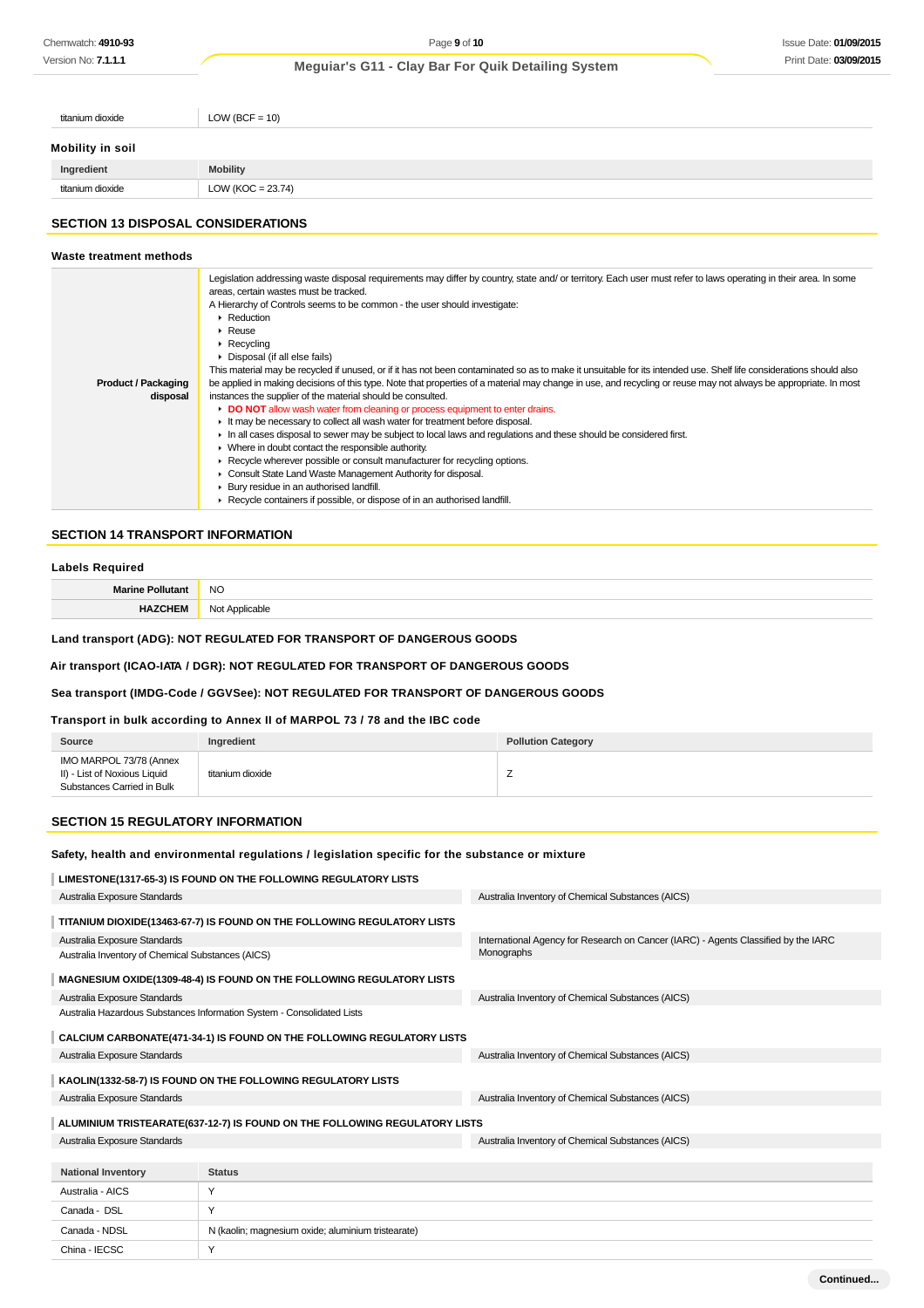Version No: **7.1.1.1**

# **Meguiar's G11 - Clay Bar For Quik Detailing System**

| titanium dioxide | $LOW (BCF = 10)$     |
|------------------|----------------------|
| Mobility in soil |                      |
| Ingredient       | <b>Mobility</b>      |
| titanium dioxide | LOW (KOC = $23.74$ ) |
|                  |                      |

# **SECTION 13 DISPOSAL CONSIDERATIONS**

| Waste treatment methods                |                                                                                                                                                                                                                                                                                                                                                                                                                                                                                                                                                                                                                                                                                                                                                                                                                                                                                                                                                                                                                                                                                                                                                                                                                                                                                                                                                                                                                                                   |
|----------------------------------------|---------------------------------------------------------------------------------------------------------------------------------------------------------------------------------------------------------------------------------------------------------------------------------------------------------------------------------------------------------------------------------------------------------------------------------------------------------------------------------------------------------------------------------------------------------------------------------------------------------------------------------------------------------------------------------------------------------------------------------------------------------------------------------------------------------------------------------------------------------------------------------------------------------------------------------------------------------------------------------------------------------------------------------------------------------------------------------------------------------------------------------------------------------------------------------------------------------------------------------------------------------------------------------------------------------------------------------------------------------------------------------------------------------------------------------------------------|
| <b>Product / Packaging</b><br>disposal | Legislation addressing waste disposal requirements may differ by country, state and/ or territory. Each user must refer to laws operating in their area. In some<br>areas, certain wastes must be tracked.<br>A Hierarchy of Controls seems to be common - the user should investigate:<br>$\blacktriangleright$ Reduction<br>$\triangleright$ Reuse<br>$\triangleright$ Recycling<br>Disposal (if all else fails)<br>This material may be recycled if unused, or if it has not been contaminated so as to make it unsuitable for its intended use. Shelf life considerations should also<br>be applied in making decisions of this type. Note that properties of a material may change in use, and recycling or reuse may not always be appropriate. In most<br>instances the supplier of the material should be consulted.<br>• DO NOT allow wash water from cleaning or process equipment to enter drains.<br>It may be necessary to collect all wash water for treatment before disposal.<br>In all cases disposal to sewer may be subject to local laws and regulations and these should be considered first.<br>• Where in doubt contact the responsible authority.<br>► Recycle wherever possible or consult manufacturer for recycling options.<br>Consult State Land Waste Management Authority for disposal.<br>▶ Bury residue in an authorised landfill.<br>▶ Recycle containers if possible, or dispose of in an authorised landfill. |

# **SECTION 14 TRANSPORT INFORMATION**

### **Labels Required**

| Marino<br>the contract of the contract of the | <b>NO</b><br>$\sim$  |
|-----------------------------------------------|----------------------|
|                                               | ساد<br>nhl<br>w<br>. |

# **Land transport (ADG): NOT REGULATED FOR TRANSPORT OF DANGEROUS GOODS**

# **Air transport (ICAO-IATA / DGR): NOT REGULATED FOR TRANSPORT OF DANGEROUS GOODS**

#### **Sea transport (IMDG-Code / GGVSee): NOT REGULATED FOR TRANSPORT OF DANGEROUS GOODS**

# **Transport in bulk according to Annex II of MARPOL 73 / 78 and the IBC code**

| Source                                                                                | Ingredient       | <b>Pollution Category</b> |
|---------------------------------------------------------------------------------------|------------------|---------------------------|
| IMO MARPOL 73/78 (Annex<br>II) - List of Noxious Liquid<br>Substances Carried in Bulk | titanium dioxide | <u>.</u>                  |

# **SECTION 15 REGULATORY INFORMATION**

China - IECSC Y

#### **Safety, health and environmental regulations / legislation specific for the substance or mixture**

| LIMESTONE(1317-65-3) IS FOUND ON THE FOLLOWING REGULATORY LISTS            |                                                    |                                                                                                  |  |  |
|----------------------------------------------------------------------------|----------------------------------------------------|--------------------------------------------------------------------------------------------------|--|--|
| Australia Exposure Standards                                               |                                                    | Australia Inventory of Chemical Substances (AICS)                                                |  |  |
| TITANIUM DIOXIDE(13463-67-7) IS FOUND ON THE FOLLOWING REGULATORY LISTS    |                                                    |                                                                                                  |  |  |
| Australia Exposure Standards                                               |                                                    | International Agency for Research on Cancer (IARC) - Agents Classified by the IARC<br>Monographs |  |  |
| Australia Inventory of Chemical Substances (AICS)                          |                                                    |                                                                                                  |  |  |
| MAGNESIUM OXIDE(1309-48-4) IS FOUND ON THE FOLLOWING REGULATORY LISTS      |                                                    |                                                                                                  |  |  |
| Australia Exposure Standards                                               |                                                    | Australia Inventory of Chemical Substances (AICS)                                                |  |  |
| Australia Hazardous Substances Information System - Consolidated Lists     |                                                    |                                                                                                  |  |  |
| CALCIUM CARBONATE(471-34-1) IS FOUND ON THE FOLLOWING REGULATORY LISTS     |                                                    |                                                                                                  |  |  |
| Australia Exposure Standards                                               |                                                    | Australia Inventory of Chemical Substances (AICS)                                                |  |  |
| KAOLIN(1332-58-7) IS FOUND ON THE FOLLOWING REGULATORY LISTS               |                                                    |                                                                                                  |  |  |
| Australia Exposure Standards                                               |                                                    | Australia Inventory of Chemical Substances (AICS)                                                |  |  |
| ALUMINIUM TRISTEARATE(637-12-7) IS FOUND ON THE FOLLOWING REGULATORY LISTS |                                                    |                                                                                                  |  |  |
| Australia Exposure Standards                                               |                                                    | Australia Inventory of Chemical Substances (AICS)                                                |  |  |
|                                                                            |                                                    |                                                                                                  |  |  |
| <b>National Inventory</b>                                                  | <b>Status</b>                                      |                                                                                                  |  |  |
| Australia - AICS                                                           | Y                                                  |                                                                                                  |  |  |
| Canada - DSL                                                               | Y                                                  |                                                                                                  |  |  |
| Canada - NDSL                                                              | N (kaolin; magnesium oxide; aluminium tristearate) |                                                                                                  |  |  |